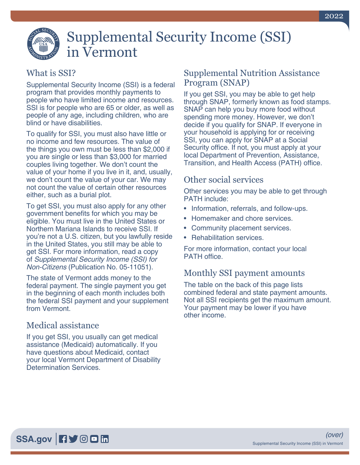

# Supplemental Security Income (SSI) in Vermont

## What is SSI?

Supplemental Security Income (SSI) is a federal program that provides monthly payments to people who have limited income and resources. SSI is for people who are 65 or older, as well as people of any age, including children, who are blind or have disabilities.

To qualify for SSI, you must also have little or no income and few resources. The value of the things you own must be less than \$2,000 if you are single or less than \$3,000 for married couples living together. We don't count the value of your home if you live in it, and, usually, we don't count the value of your car. We may not count the value of certain other resources either, such as a burial plot.

To get SSI, you must also apply for any other government benefits for which you may be eligible. You must live in the United States or Northern Mariana Islands to receive SSI. If you're not a U.S. citizen, but you lawfully reside in the United States, you still may be able to get SSI. For more information, read a copy of *[Supplemental Security Income \(SSI\) for](https://www.ssa.gov/pubs/EN-05-11051.pdf)  Non-Citizens* [\(Publication No. 05-11051\)](https://www.ssa.gov/pubs/EN-05-11051.pdf).

The state of Vermont adds money to the federal payment. The single payment you get in the beginning of each month includes both the federal SSI payment and your supplement from Vermont.

## Medical assistance

If you get SSI, you usually can get medical assistance (Medicaid) automatically. If you have questions about Medicaid, contact your local Vermont Department of Disability Determination Services.

#### Supplemental Nutrition Assistance Program (SNAP)

If you get SSI, you may be able to get help through SNAP, formerly known as food stamps. SNAP can help you buy more food without spending more money. However, we don't decide if you qualify for SNAP. If everyone in your household is applying for or receiving SSI, you can apply for SNAP at a Social Security office. If not, you must apply at your local Department of Prevention, Assistance, Transition, and Health Access (PATH) office.

### Other social services

Other services you may be able to get through PATH include:

- Information, referrals, and follow-ups.
- Homemaker and chore services.
- Community placement services.
- Rehabilitation services.

For more information, contact your local PATH office.

## Monthly SSI payment amounts

The table on the back of this page lists combined federal and state payment amounts. Not all SSI recipients get the maximum amount. Your payment may be lower if you have other income.